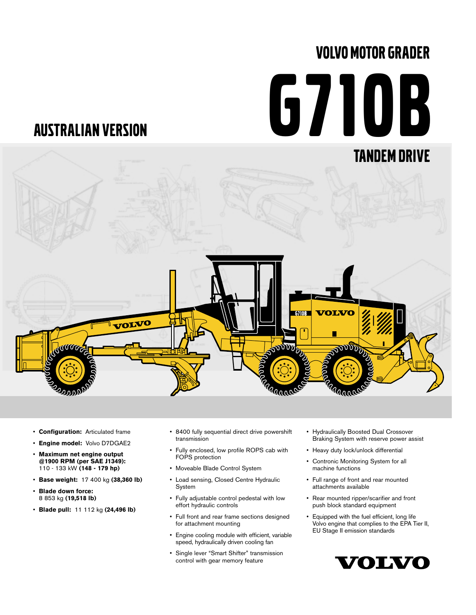# VOLVO MOTOR GRADER

# G710B

## AUSTRALIAN VERSION



- **Configuration:** Articulated frame
- **Engine model:** Volvo D7DGAE2
- **Maximum net engine output @1900 RPM (per SAE J1349):** 110 - 133 kW **(148 - 179 hp)**
- **Base weight:** 17 400 kg **(38,360 lb)**
- **Blade down force:** 8 853 kg **(19,518 lb)**
- **Blade pull:** 11 112 kg **(24,496 lb)**
- 8400 fully sequential direct drive powershift transmission
- Fully enclosed, low profile ROPS cab with FOPS protection
- Moveable Blade Control System
- Load sensing, Closed Centre Hydraulic System
- Fully adjustable control pedestal with low effort hydraulic controls
- Full front and rear frame sections designed for attachment mounting
- Engine cooling module with efficient, variable speed, hydraulically driven cooling fan
- Single lever "Smart Shifter" transmission control with gear memory feature
- Hydraulically Boosted Dual Crossover Braking System with reserve power assist
- Heavy duty lock/unlock differential
- Contronic Monitoring System for all machine functions
- Full range of front and rear mounted attachments available
- Rear mounted ripper/scarifier and front push block standard equipment
- Equipped with the fuel efficient, long life Volvo engine that complies to the EPA Tier II, EU Stage II emission standards

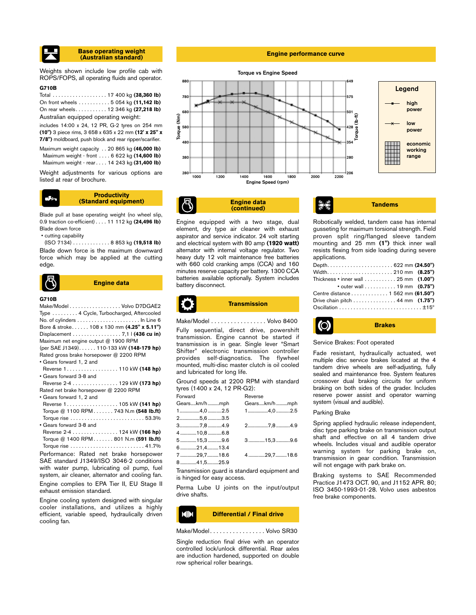#### **Base operating weight (Australian standard)**

Weights shown include low profile cab with ROPS/FOPS, all operating fluids and operator.

## **G710B**

Total . . . . . . . . . . . . . . . . . . . 17 400 kg **(38,360 lb)** On front wheels . . . . . . . . . . . 5 054 kg **(11,142 lb)** On rear wheels. . . . . . . . . . . 12 346 kg **(27,218 lb)** Australian equipped operating weight:

includes 14:00 x 24, 12 PR, G-2 tyres on 254 mm **(10")** 3 piece rims, 3 658 x 635 x 22 mm **(12' x 25" x 7/8")** moldboard, push block and rear ripper/scarifier. Maximum weight capacity . . 20 865 kg **(46,000 lb)** Maximum weight - front . . . . 6 622 kg **(14,600 lb)** Maximum weight - rear . . . . 14 243 kg **(31,400 lb)**

Weight adjustments for various options are listed at rear of brochure.

#### **Productivity (Standard equipment)**

Blade pull at base operating weight (no wheel slip, 0.9 traction co-efficient) . . . . 11 112 kg **(24,496 lb)** Blade down force

• cutting capability

(ISO 7134) . . . . . . . . . . . . . 8 853 kg **(19,518 lb)** Blade down force is the maximum downward force which may be applied at the cutting edge.



#### **G710B**

Make/Model . . . . . . . . . . . . . . . . . . Volvo D7DGAE2 Type . . . . . . . . . 4 Cycle, Turbocharged, Aftercooled No. of cylinders . . . . . . . . . . . . . . . . . . . . . . In Line 6 Bore & stroke. . . . . . 108 x 130 mm **(4.25" x 5.11")** Displacement . . . . . . . . . . . . . . . . . 7,1 l **(436 cu in)** Maximum net engine output @ 1900 RPM (per SAE J1349). . . . . . 110-133 kW **(148-179 hp)** Rated gross brake horsepower @ 2200 RPM • Gears forward 1, 2 and Reverse 1 . . . . . . . . . . . . . . . . . . 110 kW **(148 hp)** • Gears forward 3-8 and Reverse 2-4 . . . . . . . . . . . . . . . . 129 kW **(173 hp)** Rated net brake horsepower @ 2200 RPM • Gears forward 1, 2 and Reverse 1 . . . . . . . . . . . . . . . . . . 105 kW **(141 hp)** Torque @ 1100 RPM . . . . . . . 743 N.m **(548 lb.ft)** Torque rise . . . . . . . . . . . . . . . . . . . . . . . . . . 53.3%

• Gears forward 3-8 and Reverse 2-4 . . . . . . . . . . . . . . . . 124 kW **(166 hp)** Torque @ 1400 RPM . . . . . . . 801 N.m **(591 lb.ft)**

Torque rise . . . . . . . . . . . . . . . . . . . . . . . . . . 41.7% Performance: Rated net brake horsepower SAE standard J1349/ISO 3046-2 conditions with water pump, lubricating oil pump, fuel system, air cleaner, alternator and cooling fan.

Engine complies to EPA Tier II, EU Stage II exhaust emission standard.

Engine cooling system designed with singular cooler installations, and utilizes a highly efficient, variable speed, hydraulically driven cooling fan.

#### **Engine performance curve**



**Engine data (continued)**

Engine equipped with a two stage, dual element, dry type air cleaner with exhaust aspirator and service indicator. 24 volt starting and electrical system with 80 amp **(1920 watt)** alternator with internal voltage regulator. Two heavy duty 12 volt maintenance free batteries with 660 cold cranking amps (CCA) and 160 minutes reserve capacity per battery. 1300 CCA batteries available optionally. System includes battery disconnect.

**Tandems** Robotically welded, tandem case has internal gusseting for maximum torsional strength. Field proven split ring/flanged sleeve tandem

| applications.                                                                      |  |  |
|------------------------------------------------------------------------------------|--|--|
| Depth622 mm (24.50")                                                               |  |  |
|                                                                                    |  |  |
| Thickness $\cdot$ inner wall $\ldots \ldots \ldots 25$ mm $(1.00")$                |  |  |
| • outer wall 19 mm $(0.75")$                                                       |  |  |
| Centre distance 1 562 mm (61.50")                                                  |  |  |
| Drive chain pitch $\ldots \ldots \ldots \ldots 44$ mm $(1.75")$                    |  |  |
| $Oscillation \dots \dots \dots \dots \dots \dots \dots \dots \dots \pm 15^{\circ}$ |  |  |

mounting and 25 mm **(1")** thick inner wall resists flexing from side loading during severe



Make/Model . . . . . . . . . . . . . . . . . Volvo 8400 Fully sequential, direct drive, powershift transmission. Engine cannot be started if transmission is in gear. Single lever "Smart Shifter" electronic transmission controller provides self-diagnostics. The flywheel mounted, multi-disc master clutch is oil cooled and lubricated for long life.

Ground speeds at 2200 RPM with standard tyres (1400 x 24, 12 PR-G2):

| Forward |              | Reverse      |
|---------|--------------|--------------|
|         | Gearskm/hmph | Gearskm/hmph |
|         | 14,02.5      | 14,02.5      |
|         | 25,63.5      |              |
|         | 37,8 4.9     | 27,84.9      |
|         | 4 10,8 6.8   |              |
|         | 5 15,3 9.6   | $3$ 15,39.6  |
|         | 621,413.4    |              |
|         | 729,718.6    | 4 29,7  18.6 |
|         | 841,525.9    |              |
|         |              |              |

Transmission guard is standard equipment and is hinged for easy access.

Perma Lube U joints on the input/output drive shafts.



Make/Model. . . . . . . . . . . . . . . . . Volvo SR30

Single reduction final drive with an operator controlled lock/unlock differential. Rear axles are induction hardened, supported on double row spherical roller bearings.

**O Brakes**

#### Service Brakes: Foot operated

Fade resistant, hydraulically actuated, wet multiple disc service brakes located at the 4 tandem drive wheels are self-adjusting, fully sealed and maintenance free. System features crossover dual braking circuits for uniform braking on both sides of the grader. Includes reserve power assist and operator warning system (visual and audible).

#### Parking Brake

Spring applied hydraulic release independent, disc type parking brake on transmission output shaft and effective on all 4 tandem drive wheels. Includes visual and audible operator warning system for parking brake on, transmission in gear condition. Transmission will not engage with park brake on.

Braking systems to SAE Recommended Practice J1473 OCT. 90, and J1152 APR. 80; ISO 3450-1993-01-28. Volvo uses asbestos free brake components.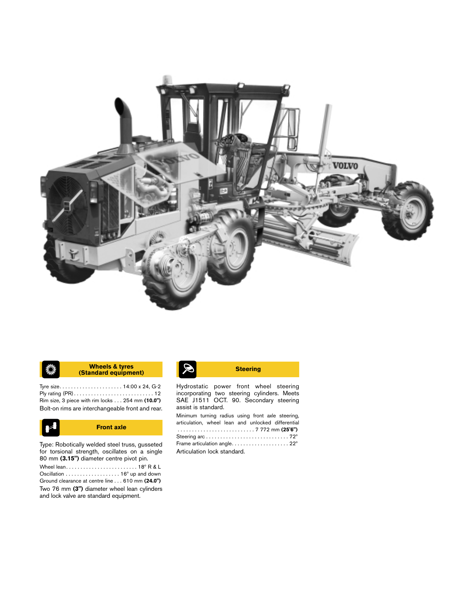

#### **(Standard equipment) Steering Wheels & tyres** ♦

Tyre size. . . . . . . . . . . . . . . . . . . . . . 14:00 x 24, G-2 Ply rating (PR) . . . . . . . . . . . . . . . . . . . . . . . . . . . . 12 Rim size, 3 piece with rim locks . . . 254 mm **(10.0")** Bolt-on rims are interchangeable front and rear.



**Front axle**

Type: Robotically welded steel truss, gusseted for torsional strength, oscillates on a single 80 mm **(3.15")** diameter centre pivot pin.

Wheel lean. . . . . . . . . . . . . . . . . . . . . . . . . 18º R & L Oscillation . . . . . . . . . . . . . . . . . . . 16º up and down Ground clearance at centre line . . . 610 mm **(24.0")** Two 76 mm **(3")** diameter wheel lean cylinders and lock valve are standard equipment.

Hydrostatic power front wheel steering incorporating two steering cylinders. Meets SAE J1511 OCT. 90. Secondary steering assist is standard.

Minimum turning radius using front axle steering, articulation, wheel lean and unlocked differential . . . . . . . . . . . . . . . . . . . . . . . . . . . 7 772 mm **(25'6")** Steering arc . . . . . . . . . . . . . . . . . . . . . . . . . . . . . 72º Frame articulation angle. . . . . . . . . . . . . . . . . . . . 22º Articulation lock standard.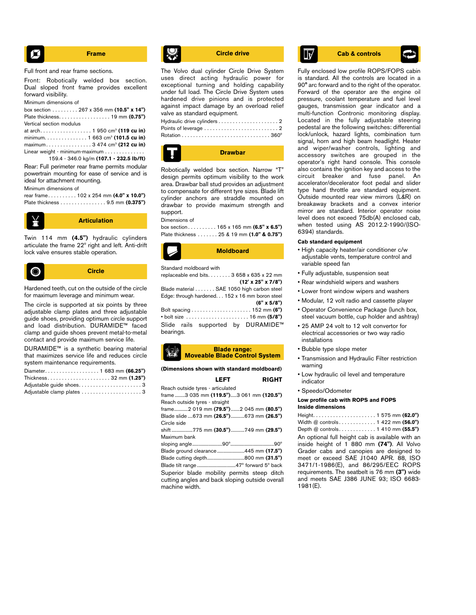$$
\begin{array}{|c|c|}\n\hline\n\end{array}
$$
 **Frame**

Full front and rear frame sections.

Front: Robotically welded box section. Dual sloped front frame provides excellent forward visibility.

Minimum dimensions of

|                          | box section 267 x 356 mm $(10.5" \times 14")$ |
|--------------------------|-----------------------------------------------|
|                          |                                               |
| Vertical section modulus |                                               |
|                          |                                               |
|                          | minimum. 1 663 cm <sup>3</sup> (101.5 cu in)  |
|                          |                                               |
|                          | $l$ inear weight - minimum-maximum            |

159.4 - 346.0 kg/m **(107.1 - 232.5 lb/ft)** Rear: Full perimeter rear frame permits modular powertrain mounting for ease of service and is

ideal for attachment mounting.

Minimum dimensions of

rear frame. . . . . . . . . . 102 x 254 mm **(4.0" x 10.0")** Plate thickness . . . . . . . . . . . . . . . . 9.5 mm **(0.375")**



Twin 114 mm **(4.5")** hydraulic cylinders articulate the frame 22º right and left. Anti-drift lock valve ensures stable operation.

**Circle** O

Hardened teeth, cut on the outside of the circle for maximum leverage and minimum wear.

The circle is supported at six points by three adjustable clamp plates and three adjustable guide shoes, providing optimum circle support and load distribution. DURAMIDE™ faced clamp and guide shoes prevent metal-to-metal contact and provide maximum service life.

DURAMIDE™ is a synthetic bearing material that maximizes service life and reduces circle system maintenance requirements.

| Diameter. 1 683 mm (66.25") |  |
|-----------------------------|--|
| Thickness32 mm (1.25")      |  |
| Adjustable quide shoes3     |  |
| Adjustable clamp plates 3   |  |

The Volvo dual cylinder Circle Drive System uses direct acting hydraulic power for exceptional turning and holding capability under full load. The Circle Drive System uses hardened drive pinions and is protected against impact damage by an overload relief valve as standard equipment. Hydraulic drive cylinders . . . . . . . . . . . . . . . . . . . . . 2 Points of leverage . . . . . . . . . . . . . . . . . . . . . . . . . . 2 Rotation . . . . . . . . . . . . . . . . . . . . . . . . . . . . . . . 360º



Robotically welded box section. Narrow "T" design permits optimum visibility to the work area. Drawbar ball stud provides an adjustment to compensate for different tyre sizes. Blade lift cylinder anchors are straddle mounted on drawbar to provide maximum strength and support.

#### Dimensions of

box section . . . . . . . . . . 165 x 165 mm **(6.5" x 6.5")** Plate thickness . . . . . . . 25 & 19 mm **(1.0" & 0.75")**



#### Standard moldboard with

replaceable end bits. . . . . . . . 3 658 x 635 x 22 mm **(12' x 25" x 7/8")**

Blade material . . . . . . . SAE 1050 high carbon steel Edge: through hardened. . . 152 x 16 mm boron steel **(6" x 5/8")**

Bolt spacing . . . . . . . . . . . . . . . . . . . . . 152 mm **(6")** • bolt size . . . . . . . . . . . . . . . . . . . . . . 16 mm **(5/8")** Slide rails supported by DURAMIDE™ bearings.

#### **Blade range: Moveable Blade Control System**

**(Dimensions shown with standard moldboard)**

| <b>RIGHT</b><br>LEFT                            |
|-------------------------------------------------|
| Reach outside tyres - articulated               |
| frame 3 035 mm (119.5")3 061 mm (120.5")        |
| Reach outside tyres - straight                  |
| frame2 019 mm (79.5")2 045 mm (80.5")           |
| Blade slide673 mm (26.5")673 mm (26.5")         |
| Circle side                                     |
| shift 775 mm (30.5")749 mm (29.5")              |
| Maximum bank                                    |
|                                                 |
| Blade ground clearance445 mm (17.5")            |
|                                                 |
|                                                 |
| Superior blade mobility permits steep ditch     |
| cutting angles and back sloping outside overall |
| machine width.                                  |

**Circle drive Cab & controls** 

Fully enclosed low profile ROPS/FOPS cabin is standard. All the controls are located in a 90° arc forward and to the right of the operator. Forward of the operator are the engine oil pressure, coolant temperature and fuel level gauges, transmission gear indicator and a multi-function Contronic monitoring display. Located in the fully adjustable steering pedestal are the following switches: differential lock/unlock, hazard lights, combination turn signal, horn and high beam headlight. Heater and wiper/washer controls, lighting and accessory switches are grouped in the operator's right hand console. This console also contains the ignition key and access to the circuit breaker and fuse panel. An accelerator/decelerator foot pedal and slider type hand throttle are standard equipment. Outside mounted rear view mirrors (L&R) on breakaway brackets and a convex interior mirror are standard. Interior operator noise level does not exceed 75db(A) enclosed cab, when tested using AS 2012.2-1990/(ISO-6394) standards.

#### **Cab standard equipment**

- High capacity heater/air conditioner c/w adjustable vents, temperature control and variable speed fan
- Fully adjustable, suspension seat
- Rear windshield wipers and washers
- Lower front window wipers and washers
- Modular, 12 volt radio and cassette player
- Operator Convenience Package (lunch box, steel vacuum bottle, cup holder and ashtray)
- 25 AMP 24 volt to 12 volt convertor for electrical accessories or two way radio installations
- Bubble type slope meter
- Transmission and Hydraulic Filter restriction warning
- Low hydraulic oil level and temperature indicator
- Speedo/Odometer

#### **Low profile cab with ROPS and FOPS Inside dimensions**

Height. . . . . . . . . . . . . . . . . . . . . . 1 575 mm **(62.0")** Width @ controls . . . . . . . . . . . . . 1 422 mm **(56.0")** Depth @ controls. . . . . . . . . . . . . 1 410 mm **(55.5")** An optional full height cab is available with an inside height of 1 880 mm **(74")**. All Volvo Grader cabs and canopies are designed to meet or exceed SAE J1040 APR. 88, ISO 3471/1-1986(E), and 86/295/EEC ROPS requirements. The seatbelt is 76 mm **(3")** wide and meets SAE J386 JUNE 93; ISO 6683- 1981(E).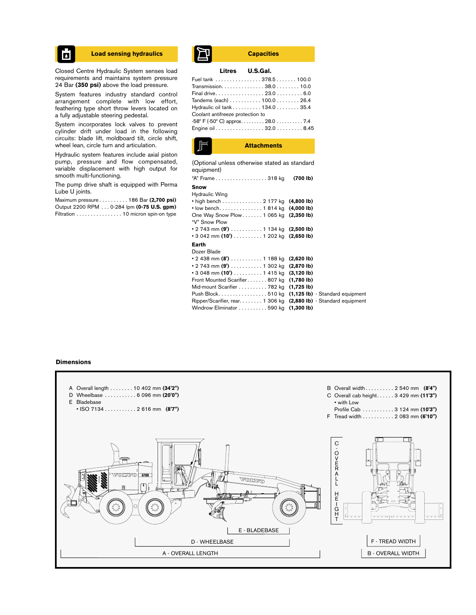$\overline{\mathbf{a}}$ 

Closed Centre Hydraulic System senses load requirements and maintains system pressure 24 Bar **(350 psi)** above the load pressure.

System features industry standard control arrangement complete with low effort, feathering type short throw levers located on a fully adjustable steering pedestal.

System incorporates lock valves to prevent cylinder drift under load in the following circuits: blade lift, moldboard tilt, circle shift, wheel lean, circle turn and articulation.

Hydraulic system features include axial piston pump, pressure and flow compensated, variable displacement with high output for smooth multi-functioning.

The pump drive shaft is equipped with Perma Lube U joints.

Maximum pressure . . . . . . . . . . 186 Bar **(2,700 psi)** Output 2200 RPM . . . 0-284 lpm **(0-75 U.S. gpm)** Filtration . . . . . . . . . . . . . . . . 10 micron spin-on type

## **Load sensing hydraulics Capacities**

#### **Litres U.S.Gal.**

| Fuel tank  378.5 100.0           |  |
|----------------------------------|--|
| Transmission. 38.0 10.0          |  |
| Final drive 23.0 6.0             |  |
|                                  |  |
| Hydraulic oil tank 134.0 35.4    |  |
| Coolant antifreeze protection to |  |
| -58° F (-50° C) approx 28.0  7.4 |  |
| Engine oil 32.0 8.45             |  |
|                                  |  |



(Optional unless otherwise stated as standard equipment)

| "A" Frame 318 kg<br>(700 lb)                                       |
|--------------------------------------------------------------------|
|                                                                    |
|                                                                    |
| • high bench 2 177 kg $(4,800 lb)$                                 |
| • low bench 1814 kg $(4,000 lb)$                                   |
| One Way Snow Plow 1 065 kg (2,350 lb)                              |
|                                                                    |
| • 2 743 mm (9 <sup>'</sup> )  1 134 kg (2,500 lb)                  |
| • 3 042 mm (10') $\ldots \ldots \ldots 1$ 202 kg (2,650 lb)        |
|                                                                    |
|                                                                    |
| • 2 438 mm $(8')$ 1 188 kg<br>$(2,620 \, lb)$                      |
| • 2 743 mm <b>(9')</b> 1 302 kg<br>$(2,870 \, lb)$                 |
| $\cdot$ 3 048 mm (10') 1 415 kg (3,120 lb)                         |
| $(1,780 \, lb)$<br>Front Mounted Scarifier807 kg                   |
| $(1,725 \, lb)$                                                    |
| (1,125 lb) - Standard equipment<br>Push Block510 kg                |
| Ripper/Scarifier, rear 1 306 kg<br>(2,880 lb) - Standard equipment |
| $(1,300 \, lb)$                                                    |
|                                                                    |

#### **Dimensions**